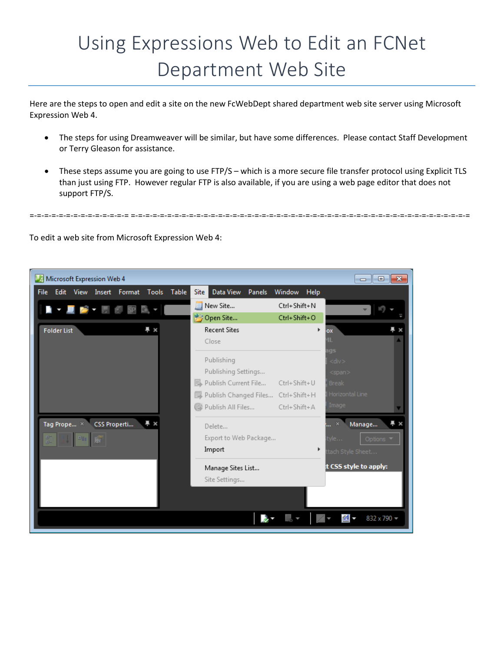## Using Expressions Web to Edit an FCNet Department Web Site

Here are the steps to open and edit a site on the new FcWebDept shared department web site server using Microsoft Expression Web 4.

- The steps for using Dreamweaver will be similar, but have some differences. Please contact Staff Development or Terry Gleason for assistance.
- These steps assume you are going to use FTP/S which is a more secure file transfer protocol using Explicit TLS than just using FTP. However regular FTP is also available, if you are using a web page editor that does not support FTP/S.

=-=-=-=-=-=-=-=-=-=-=-=-=-= =-=-=-=-=-=-=-=-=-=-=-=-=-=-=-=-=-=-=-=-=-=-=-=-=-=-=-=-=-=-=-=-=-=-=-=-=-=-=-=-=-=-=-=-=-=-=

To edit a web site from Microsoft Expression Web 4:

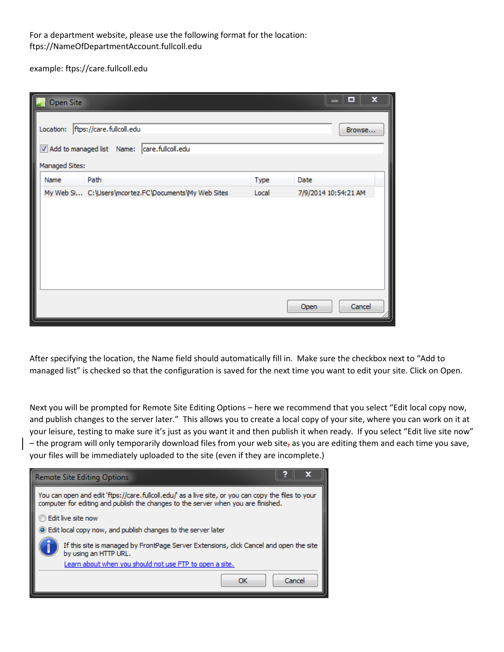## For a department website, please use the following format for the location: ftps://NameOfDepartmentAccount.fullcoll.edu

example: ftps://care.fullcoll.edu

| Open Site      |                                                                                   |       | ×<br>▫               |
|----------------|-----------------------------------------------------------------------------------|-------|----------------------|
| Managed Sites: | Location: ftps://care.fullcoll.edu<br>Add to managed list Name: care.fullcoll.edu |       | Browse               |
| Name           | Path                                                                              | Type  | Date                 |
|                | My Web Si C: \Users\mcortez.FC\Documents\My Web Sites                             | Local | 7/9/2014 10:54:21 AM |
|                |                                                                                   |       |                      |
|                |                                                                                   |       | Cancel<br>Open       |

After specifying the location, the Name field should automatically fill in. Make sure the checkbox next to "Add to managed list" is checked so that the configuration is saved for the next time you want to edit your site. Click on Open.

Next you will be prompted for Remote Site Editing Options – here we recommend that you select "Edit local copy now, and publish changes to the server later." This allows you to create a local copy of your site, where you can work on it at your leisure, testing to make sure it's just as you want it and then publish it when ready. If you select "Edit live site now"  $-$  the program will only temporarily download files from your web site, as you are editing them and each time you save, your files will be immediately uploaded to the site (even if they are incomplete.)

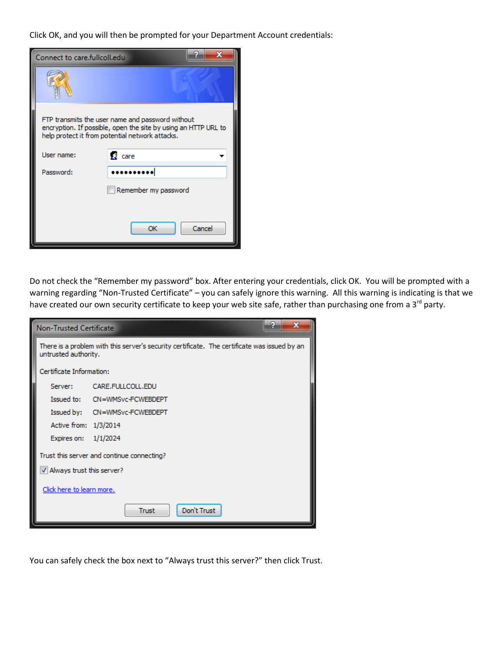Click OK, and you will then be prompted for your Department Account credentials:

| Connect to care fullcoll edu                                                                                                                                          |                      |        |  |  |
|-----------------------------------------------------------------------------------------------------------------------------------------------------------------------|----------------------|--------|--|--|
|                                                                                                                                                                       |                      |        |  |  |
| FTP transmits the user name and password without<br>encryption. If possible, open the site by using an HTTP URL to<br>help protect it from potential network attacks. |                      |        |  |  |
| User name:                                                                                                                                                            | 夏 care               |        |  |  |
| Password:                                                                                                                                                             |                      |        |  |  |
|                                                                                                                                                                       | Remember my password |        |  |  |
|                                                                                                                                                                       |                      |        |  |  |
|                                                                                                                                                                       | OK                   | Cancel |  |  |

Do not check the "Remember my password" box. After entering your credentials, click OK. You will be prompted with a warning regarding "Non-Trusted Certificate" – you can safely ignore this warning. All this warning is indicating is that we have created our own security certificate to keep your web site safe, rather than purchasing one from a 3<sup>rd</sup> party.

|                                            | <b>Non-Trusted Certificate</b>                                                                                       | х                             |  |  |  |
|--------------------------------------------|----------------------------------------------------------------------------------------------------------------------|-------------------------------|--|--|--|
|                                            | There is a problem with this server's security certificate. The certificate was issued by an<br>untrusted authority. |                               |  |  |  |
|                                            | Certificate Information:                                                                                             |                               |  |  |  |
|                                            | Server: The                                                                                                          | CARE.FULLCOLL.EDU             |  |  |  |
|                                            |                                                                                                                      | Issued to: CN=WMSvc-FCWEBDEPT |  |  |  |
|                                            |                                                                                                                      | Issued by: CN=WMSvc-FCWEBDEPT |  |  |  |
|                                            | Active from: 1/3/2014                                                                                                |                               |  |  |  |
|                                            | Expires on: 1/1/2024                                                                                                 |                               |  |  |  |
| Trust this server and continue connecting? |                                                                                                                      |                               |  |  |  |
| V Always trust this server?                |                                                                                                                      |                               |  |  |  |
| Click here to learn more.                  |                                                                                                                      |                               |  |  |  |
|                                            |                                                                                                                      | Don't Trust<br><b>Trust</b>   |  |  |  |

You can safely check the box next to "Always trust this server?" then click Trust.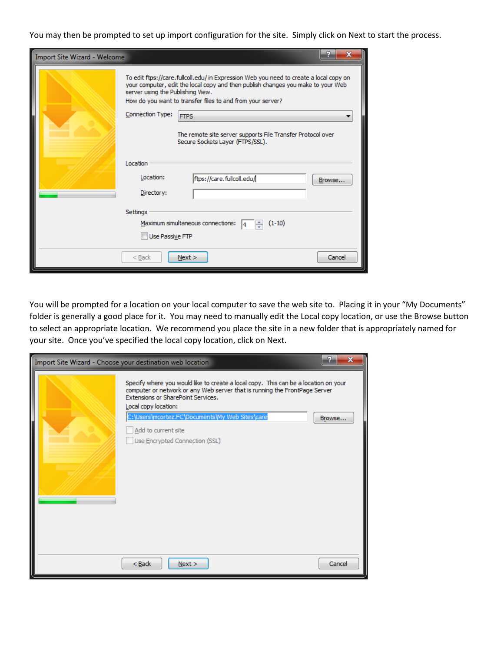You may then be prompted to set up import configuration for the site. Simply click on Next to start the process.

| x<br>Import Site Wizard - Welcome                |                                                                                                                                                                                                                                                                               |                                                                                                 |        |  |
|--------------------------------------------------|-------------------------------------------------------------------------------------------------------------------------------------------------------------------------------------------------------------------------------------------------------------------------------|-------------------------------------------------------------------------------------------------|--------|--|
|                                                  | To edit ftps://care.fullcoll.edu/ in Expression Web you need to create a local copy on<br>your computer, edit the local copy and then publish changes you make to your Web<br>server using the Publishing View.<br>How do you want to transfer files to and from your server? |                                                                                                 |        |  |
|                                                  | Connection Type:<br><b>FTPS</b>                                                                                                                                                                                                                                               |                                                                                                 |        |  |
|                                                  |                                                                                                                                                                                                                                                                               | The remote site server supports File Transfer Protocol over<br>Secure Sockets Layer (FTPS/SSL). |        |  |
|                                                  | Location                                                                                                                                                                                                                                                                      |                                                                                                 |        |  |
|                                                  | Location:                                                                                                                                                                                                                                                                     | ftps://care.fullcoll.edu/                                                                       | Browse |  |
|                                                  | Directory:                                                                                                                                                                                                                                                                    |                                                                                                 |        |  |
|                                                  | <b>Settings</b>                                                                                                                                                                                                                                                               |                                                                                                 |        |  |
| Maximum simultaneous connections:  4<br>$(1-10)$ |                                                                                                                                                                                                                                                                               |                                                                                                 |        |  |
| Use Passive FTP                                  |                                                                                                                                                                                                                                                                               |                                                                                                 |        |  |
|                                                  | $<$ Back                                                                                                                                                                                                                                                                      | Next >                                                                                          | Cancel |  |

You will be prompted for a location on your local computer to save the web site to. Placing it in your "My Documents" folder is generally a good place for it. You may need to manually edit the Local copy location, or use the Browse button to select an appropriate location. We recommend you place the site in a new folder that is appropriately named for your site. Once you've specified the local copy location, click on Next.

| Import Site Wizard - Choose your destination web location                                                                                                                                                                                                                                                                                   | Đ<br>$\mathbf{x}$ |
|---------------------------------------------------------------------------------------------------------------------------------------------------------------------------------------------------------------------------------------------------------------------------------------------------------------------------------------------|-------------------|
| Specify where you would like to create a local copy. This can be a location on your<br>computer or network or any Web server that is running the FrontPage Server<br>Extensions or SharePoint Services.<br>Local copy location:<br>C:\Users\mcortez.FC\Documents\My Web Sites\care<br>Add to current site<br>Use Encrypted Connection (SSL) | Browse            |
| $Back$<br>Next >                                                                                                                                                                                                                                                                                                                            | Cancel            |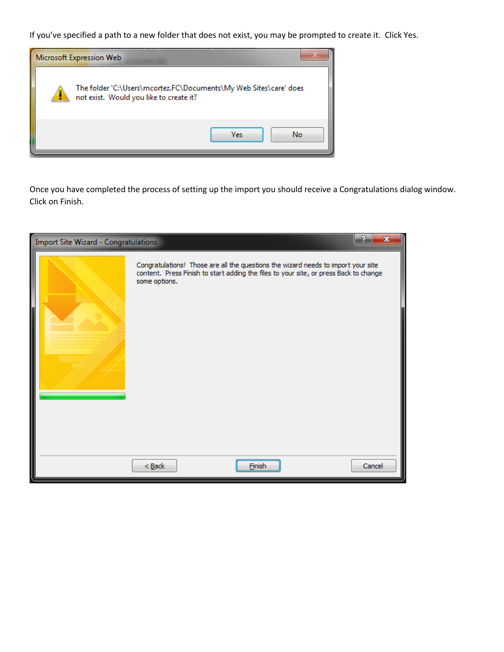If you've specified a path to a new folder that does not exist, you may be prompted to create it. Click Yes.



Once you have completed the process of setting up the import you should receive a Congratulations dialog window. Click on Finish.

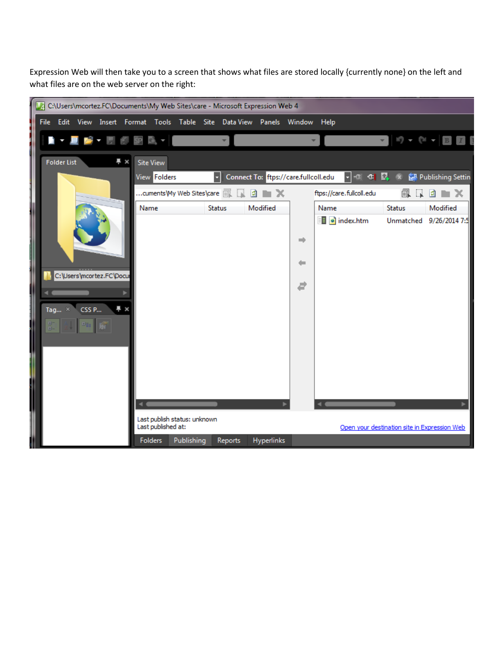Expression Web will then take you to a screen that shows what files are stored locally {currently none} on the left and what files are on the web server on the right:

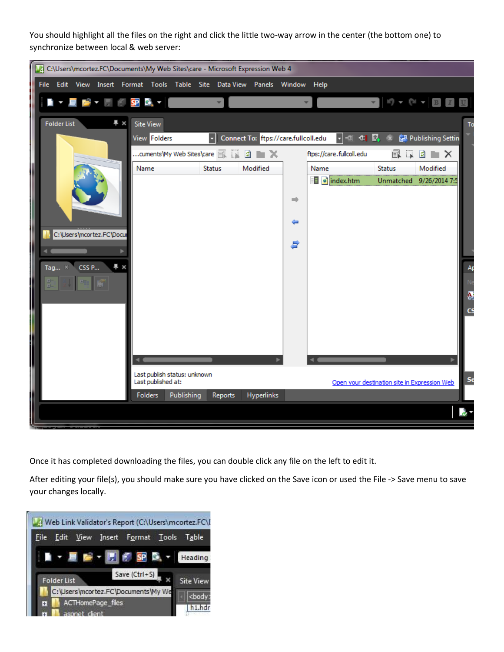You should highlight all the files on the right and click the little two-way arrow in the center (the bottom one) to synchronize between local & web server:



Once it has completed downloading the files, you can double click any file on the left to edit it.

After editing your file(s), you should make sure you have clicked on the Save icon or used the File -> Save menu to save your changes locally.